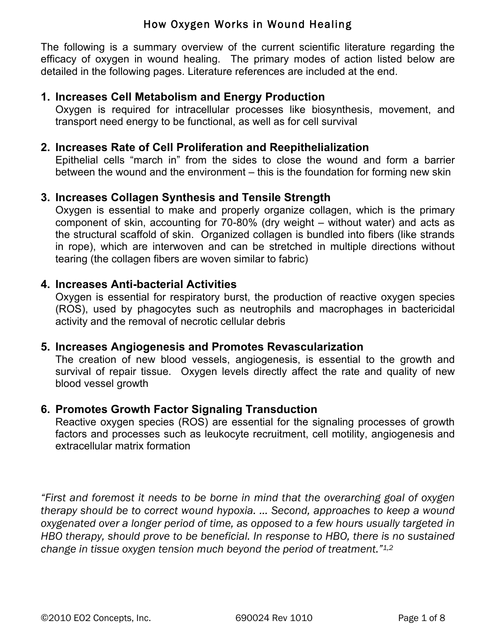The following is a summary overview of the current scientific literature regarding the efficacy of oxygen in wound healing. The primary modes of action listed below are detailed in the following pages. Literature references are included at the end.

## **1. Increases Cell Metabolism and Energy Production**

Oxygen is required for intracellular processes like biosynthesis, movement, and transport need energy to be functional, as well as for cell survival

#### **2. Increases Rate of Cell Proliferation and Reepithelialization**

Epithelial cells "march in" from the sides to close the wound and form a barrier between the wound and the environment – this is the foundation for forming new skin

#### **3. Increases Collagen Synthesis and Tensile Strength**

Oxygen is essential to make and properly organize collagen, which is the primary component of skin, accounting for 70-80% (dry weight – without water) and acts as the structural scaffold of skin. Organized collagen is bundled into fibers (like strands in rope), which are interwoven and can be stretched in multiple directions without tearing (the collagen fibers are woven similar to fabric)

#### **4. Increases Anti-bacterial Activities**

Oxygen is essential for respiratory burst, the production of reactive oxygen species (ROS), used by phagocytes such as neutrophils and macrophages in bactericidal activity and the removal of necrotic cellular debris

#### **5. Increases Angiogenesis and Promotes Revascularization**

The creation of new blood vessels, angiogenesis, is essential to the growth and survival of repair tissue. Oxygen levels directly affect the rate and quality of new blood vessel growth

#### **6. Promotes Growth Factor Signaling Transduction**

Reactive oxygen species (ROS) are essential for the signaling processes of growth factors and processes such as leukocyte recruitment, cell motility, angiogenesis and extracellular matrix formation

*"First and foremost it needs to be borne in mind that the overarching goal of oxygen therapy should be to correct wound hypoxia. … Second, approaches to keep a wound oxygenated over a longer period of time, as opposed to a few hours usually targeted in HBO therapy, should prove to be beneficial. In response to HBO, there is no sustained change in tissue oxygen tension much beyond the period of treatment."1,2*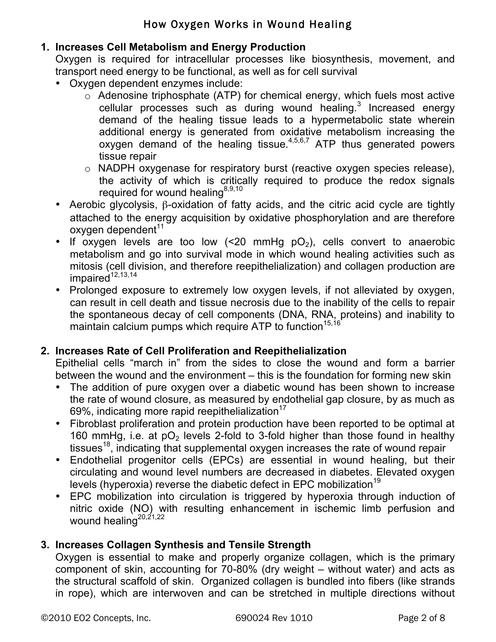# **1. Increases Cell Metabolism and Energy Production**

Oxygen is required for intracellular processes like biosynthesis, movement, and transport need energy to be functional, as well as for cell survival

- Oxygen dependent enzymes include:
	- $\circ$  Adenosine triphosphate (ATP) for chemical energy, which fuels most active cellular processes such as during wound healing. $3$  Increased energy demand of the healing tissue leads to a hypermetabolic state wherein additional energy is generated from oxidative metabolism increasing the oxygen demand of the healing tissue. $4,5,6,7$  ATP thus generated powers tissue repair
	- o NADPH oxygenase for respiratory burst (reactive oxygen species release), the activity of which is critically required to produce the redox signals required for wound healing<sup>8,9,10</sup>
- Aerobic glycolysis, β-oxidation of fatty acids, and the citric acid cycle are tightly attached to the energy acquisition by oxidative phosphorylation and are therefore  $o$ xygen dependent $11$
- If oxygen levels are too low  $\leq 20$  mmHg pO<sub>2</sub>), cells convert to anaerobic metabolism and go into survival mode in which wound healing activities such as mitosis (cell division, and therefore reepithelialization) and collagen production are  $impaired<sup>12,13,14</sup>$
- Prolonged exposure to extremely low oxygen levels, if not alleviated by oxygen, can result in cell death and tissue necrosis due to the inability of the cells to repair the spontaneous decay of cell components (DNA, RNA, proteins) and inability to maintain calcium pumps which require ATP to function<sup>15,16</sup>

### **2. Increases Rate of Cell Proliferation and Reepithelialization**

Epithelial cells "march in" from the sides to close the wound and form a barrier between the wound and the environment – this is the foundation for forming new skin

- The addition of pure oxygen over a diabetic wound has been shown to increase the rate of wound closure, as measured by endothelial gap closure, by as much as 69%, indicating more rapid reepithelialization $17$
- Fibroblast proliferation and protein production have been reported to be optimal at 160 mmHg, i.e. at  $pO<sub>2</sub>$  levels 2-fold to 3-fold higher than those found in healthy tissues<sup>18</sup>, indicating that supplemental oxygen increases the rate of wound repair
- Endothelial progenitor cells (EPCs) are essential in wound healing, but their circulating and wound level numbers are decreased in diabetes. Elevated oxygen levels (hyperoxia) reverse the diabetic defect in EPC mobilization<sup>19</sup>
- EPC mobilization into circulation is triggered by hyperoxia through induction of nitric oxide (NO) with resulting enhancement in ischemic limb perfusion and wound healing<sup>20,21,22</sup>

### **3. Increases Collagen Synthesis and Tensile Strength**

Oxygen is essential to make and properly organize collagen, which is the primary component of skin, accounting for 70-80% (dry weight – without water) and acts as the structural scaffold of skin. Organized collagen is bundled into fibers (like strands in rope), which are interwoven and can be stretched in multiple directions without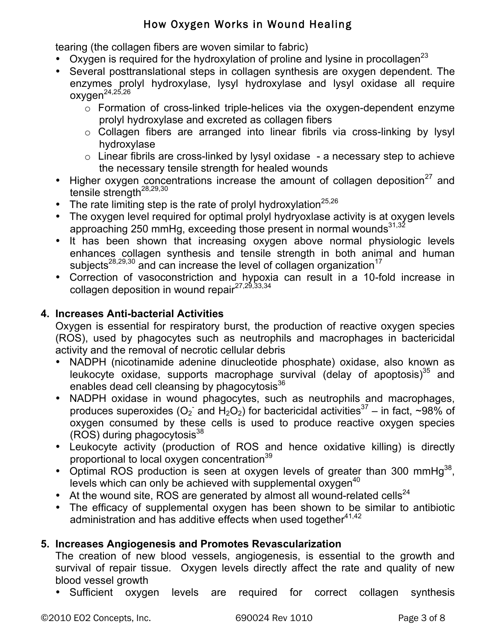tearing (the collagen fibers are woven similar to fabric)

- Oxygen is required for the hydroxylation of proline and lysine in procollagen<sup>23</sup>
- Several posttranslational steps in collagen synthesis are oxygen dependent. The enzymes prolyl hydroxylase, lysyl hydroxylase and lysyl oxidase all require  $oxygen^{24,25,26}$ 
	- o Formation of cross-linked triple-helices via the oxygen-dependent enzyme prolyl hydroxylase and excreted as collagen fibers
	- o Collagen fibers are arranged into linear fibrils via cross-linking by lysyl hydroxylase
	- $\circ$  Linear fibrils are cross-linked by lysyl oxidase a necessary step to achieve the necessary tensile strength for healed wounds
- Higher oxygen concentrations increase the amount of collagen deposition<sup>27</sup> and tensile strength<sup>28,29,30</sup>
- The rate limiting step is the rate of prolyl hydroxylation $25,26$
- The oxygen level required for optimal prolyl hydryoxlase activity is at oxygen levels approaching 250 mmHg, exceeding those present in normal wounds<sup>31,32</sup>
- It has been shown that increasing oxygen above normal physiologic levels enhances collagen synthesis and tensile strength in both animal and human subjects<sup>28,29,30</sup> and can increase the level of collagen organization<sup>17</sup>
- Correction of vasoconstriction and hypoxia can result in a 10-fold increase in collagen deposition in wound repair<sup>27,29,33,34</sup>

### **4. Increases Anti-bacterial Activities**

Oxygen is essential for respiratory burst, the production of reactive oxygen species (ROS), used by phagocytes such as neutrophils and macrophages in bactericidal activity and the removal of necrotic cellular debris

- NADPH (nicotinamide adenine dinucleotide phosphate) oxidase, also known as leukocyte oxidase, supports macrophage survival (delay of apoptosis) $35$  and enables dead cell cleansing by phagocytosis<sup>36</sup>
- NADPH oxidase in wound phagocytes, such as neutrophils and macrophages, produces superoxides (O<sub>2</sub> and H<sub>2</sub>O<sub>2</sub>) for bactericidal activities<sup>37</sup> – in fact, ~98% of oxygen consumed by these cells is used to produce reactive oxygen species (ROS) during phagocytosis<sup>38</sup>
- Leukocyte activity (production of ROS and hence oxidative killing) is directly proportional to local oxygen concentration<sup>39</sup>
- Optimal ROS production is seen at oxygen levels of greater than 300 mmHg<sup>38</sup>, levels which can only be achieved with supplemental oxygen $40$
- At the wound site, ROS are generated by almost all wound-related cells<sup>24</sup>
- The efficacy of supplemental oxygen has been shown to be similar to antibiotic administration and has additive effects when used together<sup>41,42</sup>

### **5. Increases Angiogenesis and Promotes Revascularization**

The creation of new blood vessels, angiogenesis, is essential to the growth and survival of repair tissue. Oxygen levels directly affect the rate and quality of new blood vessel growth

• Sufficient oxygen levels are required for correct collagen synthesis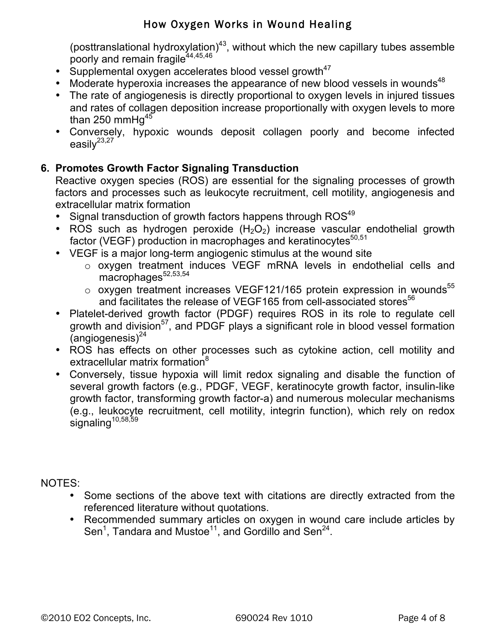(posttranslational hydroxylation) $43$ , without which the new capillary tubes assemble poorly and remain fragile<sup>44,45,46</sup>

- Supplemental oxygen accelerates blood vessel growth $47$
- Moderate hyperoxia increases the appearance of new blood vessels in wounds<sup>48</sup>
- The rate of angiogenesis is directly proportional to oxygen levels in injured tissues and rates of collagen deposition increase proportionally with oxygen levels to more than 250 mmH $q^{45}$
- Conversely, hypoxic wounds deposit collagen poorly and become infected easily $^{23,27}$

# **6. Promotes Growth Factor Signaling Transduction**

Reactive oxygen species (ROS) are essential for the signaling processes of growth factors and processes such as leukocyte recruitment, cell motility, angiogenesis and extracellular matrix formation

- Signal transduction of growth factors happens through ROS<sup>49</sup>
- ROS such as hydrogen peroxide  $(H_2O_2)$  increase vascular endothelial growth factor (VEGF) production in macrophages and keratinocytes<sup>50,51</sup>
- VEGF is a major long-term angiogenic stimulus at the wound site
	- o oxygen treatment induces VEGF mRNA levels in endothelial cells and  $macrophaaes<sup>52,53,54</sup>$
	- $\circ$  oxygen treatment increases VEGF121/165 protein expression in wounds<sup>55</sup> and facilitates the release of VEGF165 from cell-associated stores $56$
- Platelet-derived growth factor (PDGF) requires ROS in its role to regulate cell growth and division<sup>57</sup>, and PDGF plays a significant role in blood vessel formation  $(anqioqeness)<sup>24</sup>$
- ROS has effects on other processes such as cytokine action, cell motility and extracellular matrix formation<sup>8</sup>
- Conversely, tissue hypoxia will limit redox signaling and disable the function of several growth factors (e.g., PDGF, VEGF, keratinocyte growth factor, insulin-like growth factor, transforming growth factor-a) and numerous molecular mechanisms (e.g., leukocyte recruitment, cell motility, integrin function), which rely on redox signaling<sup>10,58,59</sup>

NOTES:

- Some sections of the above text with citations are directly extracted from the referenced literature without quotations.
- Recommended summary articles on oxygen in wound care include articles by Sen<sup>1</sup>, Tandara and Mustoe<sup>11</sup>, and Gordillo and Sen<sup>24</sup>.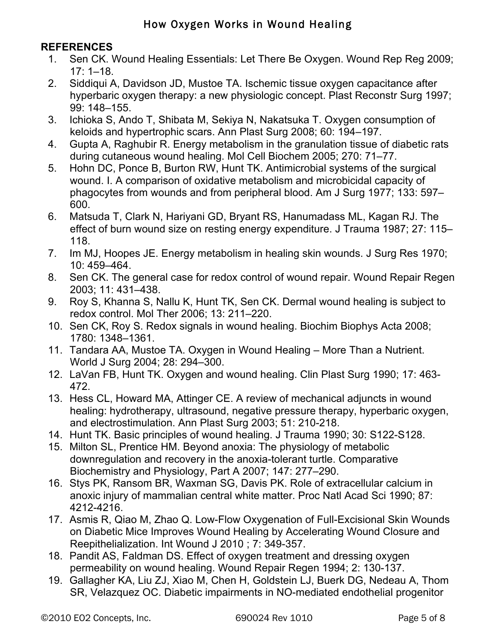### **REFERENCES**

- 1. Sen CK. Wound Healing Essentials: Let There Be Oxygen. Wound Rep Reg 2009; 17: 1–18.
- 2. Siddiqui A, Davidson JD, Mustoe TA. Ischemic tissue oxygen capacitance after hyperbaric oxygen therapy: a new physiologic concept. Plast Reconstr Surg 1997; 99: 148–155.
- 3. Ichioka S, Ando T, Shibata M, Sekiya N, Nakatsuka T. Oxygen consumption of keloids and hypertrophic scars. Ann Plast Surg 2008; 60: 194–197.
- 4. Gupta A, Raghubir R. Energy metabolism in the granulation tissue of diabetic rats during cutaneous wound healing. Mol Cell Biochem 2005; 270: 71–77.
- 5. Hohn DC, Ponce B, Burton RW, Hunt TK. Antimicrobial systems of the surgical wound. I. A comparison of oxidative metabolism and microbicidal capacity of phagocytes from wounds and from peripheral blood. Am J Surg 1977; 133: 597– 600.
- 6. Matsuda T, Clark N, Hariyani GD, Bryant RS, Hanumadass ML, Kagan RJ. The effect of burn wound size on resting energy expenditure. J Trauma 1987; 27: 115– 118.
- 7. Im MJ, Hoopes JE. Energy metabolism in healing skin wounds. J Surg Res 1970; 10: 459–464.
- 8. Sen CK. The general case for redox control of wound repair. Wound Repair Regen 2003; 11: 431–438.
- 9. Roy S, Khanna S, Nallu K, Hunt TK, Sen CK. Dermal wound healing is subject to redox control. Mol Ther 2006; 13: 211–220.
- 10. Sen CK, Roy S. Redox signals in wound healing. Biochim Biophys Acta 2008; 1780: 1348–1361.
- 11. Tandara AA, Mustoe TA. Oxygen in Wound Healing More Than a Nutrient. World J Surg 2004; 28: 294–300.
- 12. LaVan FB, Hunt TK. Oxygen and wound healing. Clin Plast Surg 1990; 17: 463- 472.
- 13. Hess CL, Howard MA, Attinger CE. A review of mechanical adjuncts in wound healing: hydrotherapy, ultrasound, negative pressure therapy, hyperbaric oxygen, and electrostimulation. Ann Plast Surg 2003; 51: 210-218.
- 14. Hunt TK. Basic principles of wound healing. J Trauma 1990; 30: S122-S128.
- 15. Milton SL, Prentice HM. Beyond anoxia: The physiology of metabolic downregulation and recovery in the anoxia-tolerant turtle. Comparative Biochemistry and Physiology, Part A 2007; 147: 277–290.
- 16. Stys PK, Ransom BR, Waxman SG, Davis PK. Role of extracellular calcium in anoxic injury of mammalian central white matter. Proc Natl Acad Sci 1990; 87: 4212-4216.
- 17. Asmis R, Qiao M, Zhao Q. Low-Flow Oxygenation of Full-Excisional Skin Wounds on Diabetic Mice Improves Wound Healing by Accelerating Wound Closure and Reepithelialization. Int Wound J 2010 ; 7: 349-357.
- 18. Pandit AS, Faldman DS. Effect of oxygen treatment and dressing oxygen permeability on wound healing. Wound Repair Regen 1994; 2: 130-137.
- 19. Gallagher KA, Liu ZJ, Xiao M, Chen H, Goldstein LJ, Buerk DG, Nedeau A, Thom SR, Velazquez OC. Diabetic impairments in NO-mediated endothelial progenitor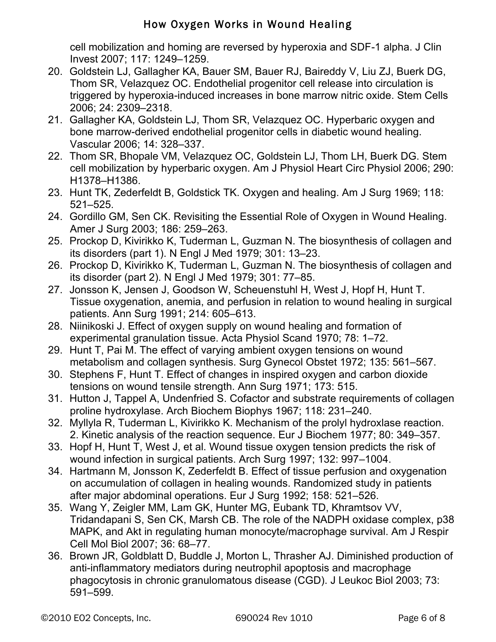cell mobilization and homing are reversed by hyperoxia and SDF-1 alpha. J Clin Invest 2007; 117: 1249–1259.

- 20. Goldstein LJ, Gallagher KA, Bauer SM, Bauer RJ, Baireddy V, Liu ZJ, Buerk DG, Thom SR, Velazquez OC. Endothelial progenitor cell release into circulation is triggered by hyperoxia-induced increases in bone marrow nitric oxide. Stem Cells 2006; 24: 2309–2318.
- 21. Gallagher KA, Goldstein LJ, Thom SR, Velazquez OC. Hyperbaric oxygen and bone marrow-derived endothelial progenitor cells in diabetic wound healing. Vascular 2006; 14: 328–337.
- 22. Thom SR, Bhopale VM, Velazquez OC, Goldstein LJ, Thom LH, Buerk DG. Stem cell mobilization by hyperbaric oxygen. Am J Physiol Heart Circ Physiol 2006; 290: H1378–H1386.
- 23. Hunt TK, Zederfeldt B, Goldstick TK. Oxygen and healing. Am J Surg 1969; 118: 521–525.
- 24. Gordillo GM, Sen CK. Revisiting the Essential Role of Oxygen in Wound Healing. Amer J Surg 2003; 186: 259–263.
- 25. Prockop D, Kivirikko K, Tuderman L, Guzman N. The biosynthesis of collagen and its disorders (part 1). N Engl J Med 1979; 301: 13–23.
- 26. Prockop D, Kivirikko K, Tuderman L, Guzman N. The biosynthesis of collagen and its disorder (part 2). N Engl J Med 1979; 301: 77–85.
- 27. Jonsson K, Jensen J, Goodson W, Scheuenstuhl H, West J, Hopf H, Hunt T. Tissue oxygenation, anemia, and perfusion in relation to wound healing in surgical patients. Ann Surg 1991; 214: 605–613.
- 28. Niinikoski J. Effect of oxygen supply on wound healing and formation of experimental granulation tissue. Acta Physiol Scand 1970; 78: 1–72.
- 29. Hunt T, Pai M. The effect of varying ambient oxygen tensions on wound metabolism and collagen synthesis. Surg Gynecol Obstet 1972; 135: 561–567.
- 30. Stephens F, Hunt T. Effect of changes in inspired oxygen and carbon dioxide tensions on wound tensile strength. Ann Surg 1971; 173: 515.
- 31. Hutton J, Tappel A, Undenfried S. Cofactor and substrate requirements of collagen proline hydroxylase. Arch Biochem Biophys 1967; 118: 231–240.
- 32. Myllyla R, Tuderman L, Kivirikko K. Mechanism of the prolyl hydroxlase reaction. 2. Kinetic analysis of the reaction sequence. Eur J Biochem 1977; 80: 349–357.
- 33. Hopf H, Hunt T, West J, et al. Wound tissue oxygen tension predicts the risk of wound infection in surgical patients. Arch Surg 1997; 132: 997–1004.
- 34. Hartmann M, Jonsson K, Zederfeldt B. Effect of tissue perfusion and oxygenation on accumulation of collagen in healing wounds. Randomized study in patients after major abdominal operations. Eur J Surg 1992; 158: 521–526.
- 35. Wang Y, Zeigler MM, Lam GK, Hunter MG, Eubank TD, Khramtsov VV, Tridandapani S, Sen CK, Marsh CB. The role of the NADPH oxidase complex, p38 MAPK, and Akt in regulating human monocyte/macrophage survival. Am J Respir Cell Mol Biol 2007; 36: 68–77.
- 36. Brown JR, Goldblatt D, Buddle J, Morton L, Thrasher AJ. Diminished production of anti-inflammatory mediators during neutrophil apoptosis and macrophage phagocytosis in chronic granulomatous disease (CGD). J Leukoc Biol 2003; 73: 591–599.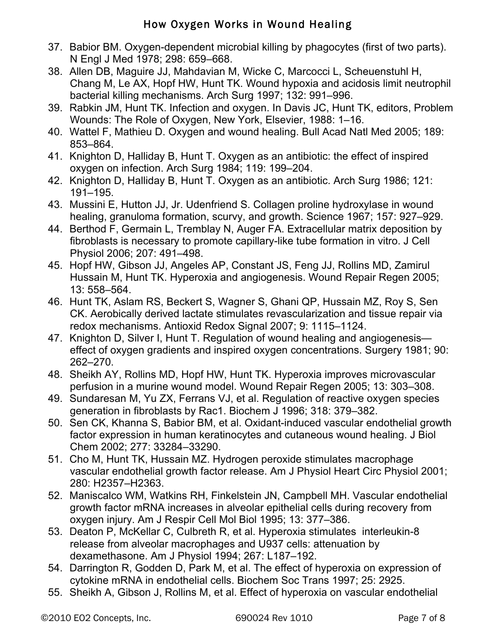- 37. Babior BM. Oxygen-dependent microbial killing by phagocytes (first of two parts). N Engl J Med 1978; 298: 659–668.
- 38. Allen DB, Maguire JJ, Mahdavian M, Wicke C, Marcocci L, Scheuenstuhl H, Chang M, Le AX, Hopf HW, Hunt TK. Wound hypoxia and acidosis limit neutrophil bacterial killing mechanisms. Arch Surg 1997; 132: 991–996.
- 39. Rabkin JM, Hunt TK. Infection and oxygen. In Davis JC, Hunt TK, editors, Problem Wounds: The Role of Oxygen, New York, Elsevier, 1988: 1–16.
- 40. Wattel F, Mathieu D. Oxygen and wound healing. Bull Acad Natl Med 2005; 189: 853–864.
- 41. Knighton D, Halliday B, Hunt T. Oxygen as an antibiotic: the effect of inspired oxygen on infection. Arch Surg 1984; 119: 199–204.
- 42. Knighton D, Halliday B, Hunt T. Oxygen as an antibiotic. Arch Surg 1986; 121: 191–195.
- 43. Mussini E, Hutton JJ, Jr. Udenfriend S. Collagen proline hydroxylase in wound healing, granuloma formation, scurvy, and growth. Science 1967; 157: 927–929.
- 44. Berthod F, Germain L, Tremblay N, Auger FA. Extracellular matrix deposition by fibroblasts is necessary to promote capillary-like tube formation in vitro. J Cell Physiol 2006; 207: 491–498.
- 45. Hopf HW, Gibson JJ, Angeles AP, Constant JS, Feng JJ, Rollins MD, Zamirul Hussain M, Hunt TK. Hyperoxia and angiogenesis. Wound Repair Regen 2005; 13: 558–564.
- 46. Hunt TK, Aslam RS, Beckert S, Wagner S, Ghani QP, Hussain MZ, Roy S, Sen CK. Aerobically derived lactate stimulates revascularization and tissue repair via redox mechanisms. Antioxid Redox Signal 2007; 9: 1115–1124.
- 47. Knighton D, Silver I, Hunt T. Regulation of wound healing and angiogenesis effect of oxygen gradients and inspired oxygen concentrations. Surgery 1981; 90: 262–270.
- 48. Sheikh AY, Rollins MD, Hopf HW, Hunt TK. Hyperoxia improves microvascular perfusion in a murine wound model. Wound Repair Regen 2005; 13: 303–308.
- 49. Sundaresan M, Yu ZX, Ferrans VJ, et al. Regulation of reactive oxygen species generation in fibroblasts by Rac1. Biochem J 1996; 318: 379–382.
- 50. Sen CK, Khanna S, Babior BM, et al. Oxidant-induced vascular endothelial growth factor expression in human keratinocytes and cutaneous wound healing. J Biol Chem 2002; 277: 33284–33290.
- 51. Cho M, Hunt TK, Hussain MZ. Hydrogen peroxide stimulates macrophage vascular endothelial growth factor release. Am J Physiol Heart Circ Physiol 2001; 280: H2357–H2363.
- 52. Maniscalco WM, Watkins RH, Finkelstein JN, Campbell MH. Vascular endothelial growth factor mRNA increases in alveolar epithelial cells during recovery from oxygen injury. Am J Respir Cell Mol Biol 1995; 13: 377–386.
- 53. Deaton P, McKellar C, Culbreth R, et al. Hyperoxia stimulates interleukin-8 release from alveolar macrophages and U937 cells: attenuation by dexamethasone. Am J Physiol 1994; 267: L187–192.
- 54. Darrington R, Godden D, Park M, et al. The effect of hyperoxia on expression of cytokine mRNA in endothelial cells. Biochem Soc Trans 1997; 25: 2925.
- 55. Sheikh A, Gibson J, Rollins M, et al. Effect of hyperoxia on vascular endothelial